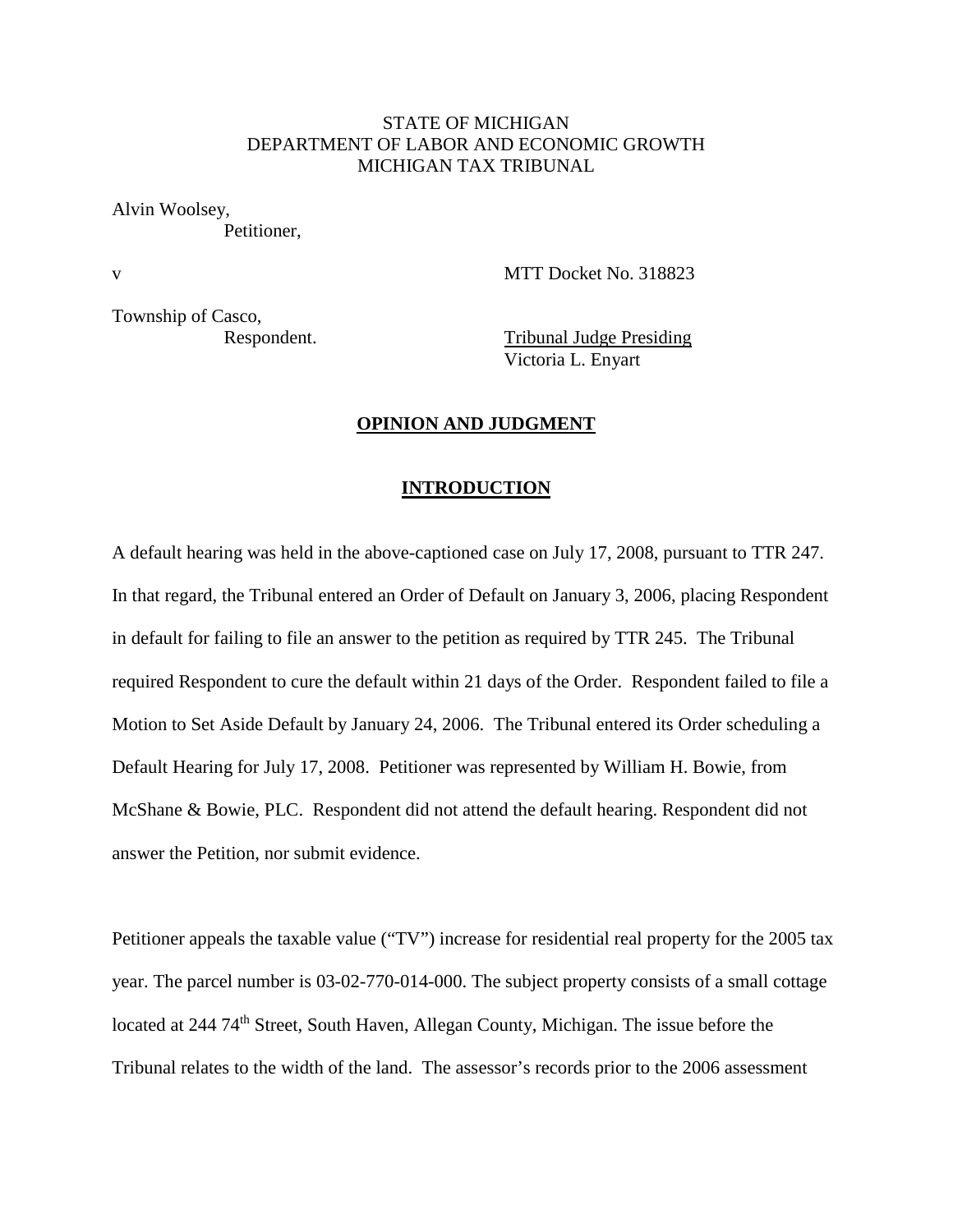# STATE OF MICHIGAN DEPARTMENT OF LABOR AND ECONOMIC GROWTH MICHIGAN TAX TRIBUNAL

Alvin Woolsey,

Petitioner,

v MTT Docket No. 318823

Township of Casco,

Respondent. Tribunal Judge Presiding Victoria L. Enyart

### **OPINION AND JUDGMENT**

#### **INTRODUCTION**

A default hearing was held in the above-captioned case on July 17, 2008, pursuant to TTR 247. In that regard, the Tribunal entered an Order of Default on January 3, 2006, placing Respondent in default for failing to file an answer to the petition as required by TTR 245. The Tribunal required Respondent to cure the default within 21 days of the Order. Respondent failed to file a Motion to Set Aside Default by January 24, 2006. The Tribunal entered its Order scheduling a Default Hearing for July 17, 2008. Petitioner was represented by William H. Bowie, from McShane & Bowie, PLC. Respondent did not attend the default hearing. Respondent did not answer the Petition, nor submit evidence.

Petitioner appeals the taxable value ("TV") increase for residential real property for the 2005 tax year. The parcel number is 03-02-770-014-000. The subject property consists of a small cottage located at 244 74<sup>th</sup> Street, South Haven, Allegan County, Michigan. The issue before the Tribunal relates to the width of the land. The assessor's records prior to the 2006 assessment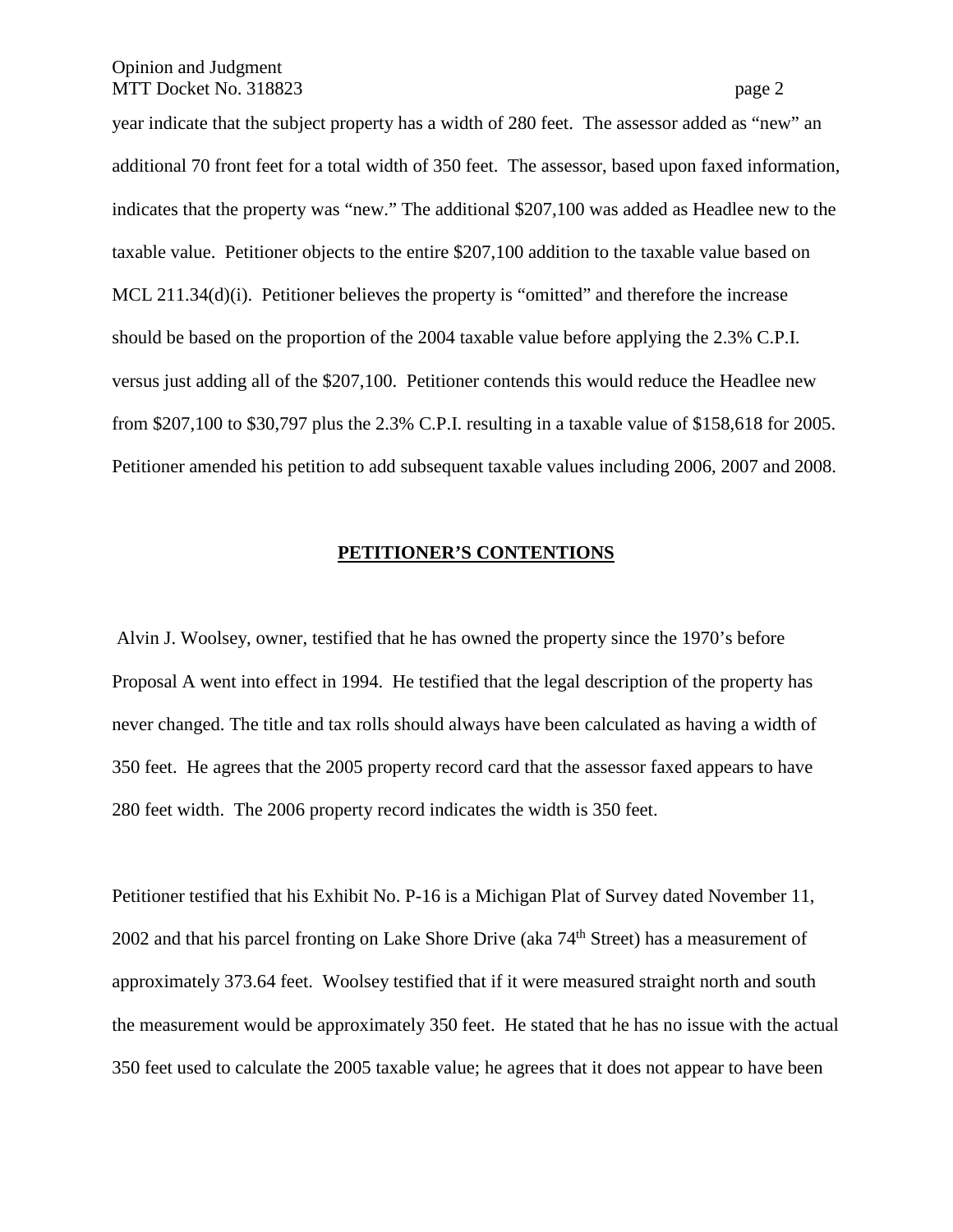year indicate that the subject property has a width of 280 feet. The assessor added as "new" an additional 70 front feet for a total width of 350 feet. The assessor, based upon faxed information, indicates that the property was "new." The additional \$207,100 was added as Headlee new to the taxable value. Petitioner objects to the entire \$207,100 addition to the taxable value based on MCL 211.34(d)(i). Petitioner believes the property is "omitted" and therefore the increase should be based on the proportion of the 2004 taxable value before applying the 2.3% C.P.I. versus just adding all of the \$207,100. Petitioner contends this would reduce the Headlee new from \$207,100 to \$30,797 plus the 2.3% C.P.I. resulting in a taxable value of \$158,618 for 2005. Petitioner amended his petition to add subsequent taxable values including 2006, 2007 and 2008.

#### **PETITIONER'S CONTENTIONS**

Alvin J. Woolsey, owner, testified that he has owned the property since the 1970's before Proposal A went into effect in 1994. He testified that the legal description of the property has never changed. The title and tax rolls should always have been calculated as having a width of 350 feet. He agrees that the 2005 property record card that the assessor faxed appears to have 280 feet width. The 2006 property record indicates the width is 350 feet.

Petitioner testified that his Exhibit No. P-16 is a Michigan Plat of Survey dated November 11, 2002 and that his parcel fronting on Lake Shore Drive (aka  $74<sup>th</sup>$  Street) has a measurement of approximately 373.64 feet. Woolsey testified that if it were measured straight north and south the measurement would be approximately 350 feet. He stated that he has no issue with the actual 350 feet used to calculate the 2005 taxable value; he agrees that it does not appear to have been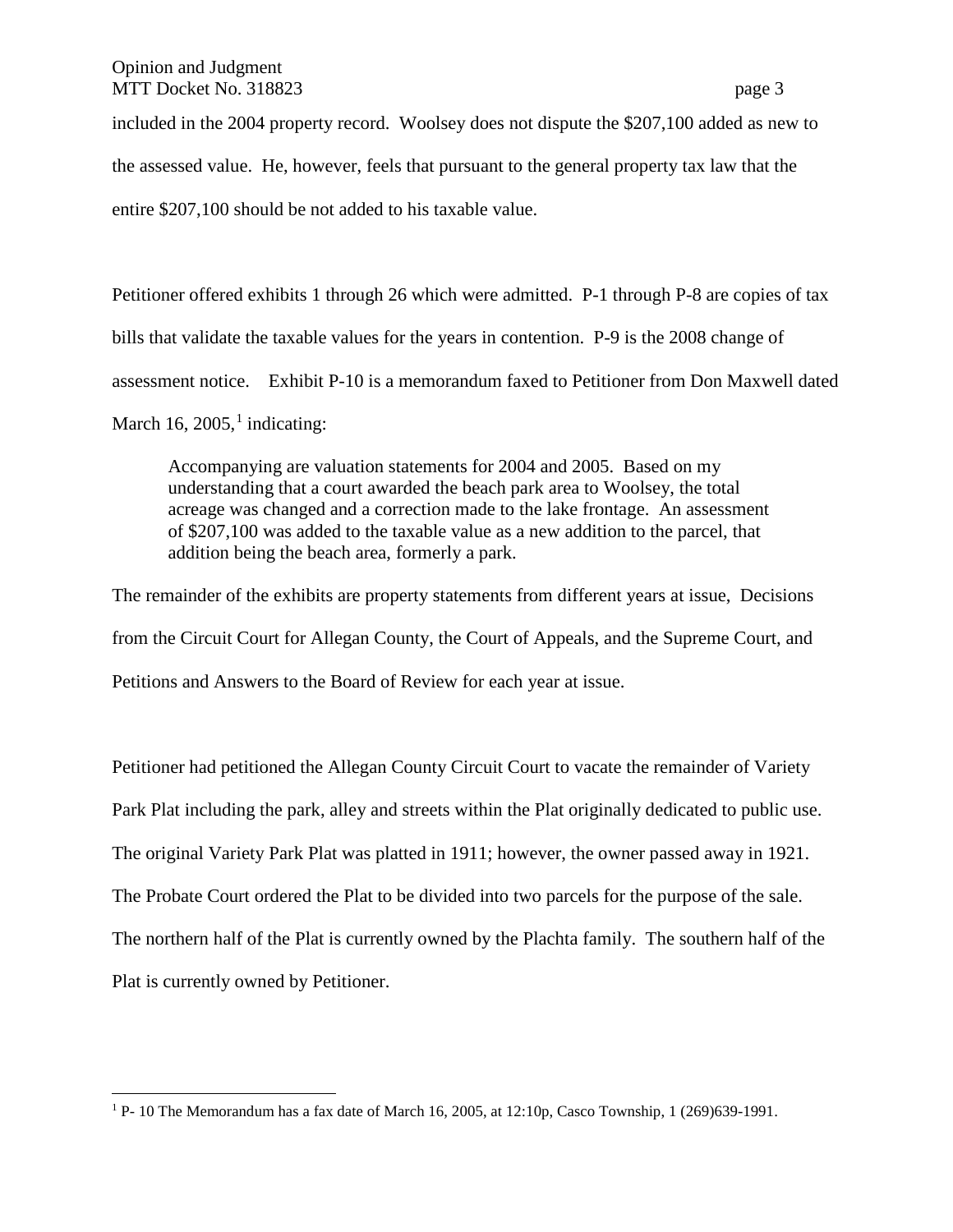included in the 2004 property record. Woolsey does not dispute the \$207,100 added as new to

the assessed value. He, however, feels that pursuant to the general property tax law that the

entire \$207,100 should be not added to his taxable value.

Petitioner offered exhibits 1 through 26 which were admitted. P-1 through P-8 are copies of tax bills that validate the taxable values for the years in contention. P-9 is the 2008 change of assessment notice. Exhibit P-10 is a memorandum faxed to Petitioner from Don Maxwell dated

March [1](#page-2-0)6, 2005,<sup>1</sup> indicating:

Accompanying are valuation statements for 2004 and 2005. Based on my understanding that a court awarded the beach park area to Woolsey, the total acreage was changed and a correction made to the lake frontage. An assessment of \$207,100 was added to the taxable value as a new addition to the parcel, that addition being the beach area, formerly a park.

The remainder of the exhibits are property statements from different years at issue, Decisions from the Circuit Court for Allegan County, the Court of Appeals, and the Supreme Court, and Petitions and Answers to the Board of Review for each year at issue.

Petitioner had petitioned the Allegan County Circuit Court to vacate the remainder of Variety Park Plat including the park, alley and streets within the Plat originally dedicated to public use. The original Variety Park Plat was platted in 1911; however, the owner passed away in 1921. The Probate Court ordered the Plat to be divided into two parcels for the purpose of the sale. The northern half of the Plat is currently owned by the Plachta family. The southern half of the Plat is currently owned by Petitioner.

<span id="page-2-0"></span> <sup>1</sup> P- 10 The Memorandum has a fax date of March 16, 2005, at 12:10p, Casco Township, 1 (269)639-1991.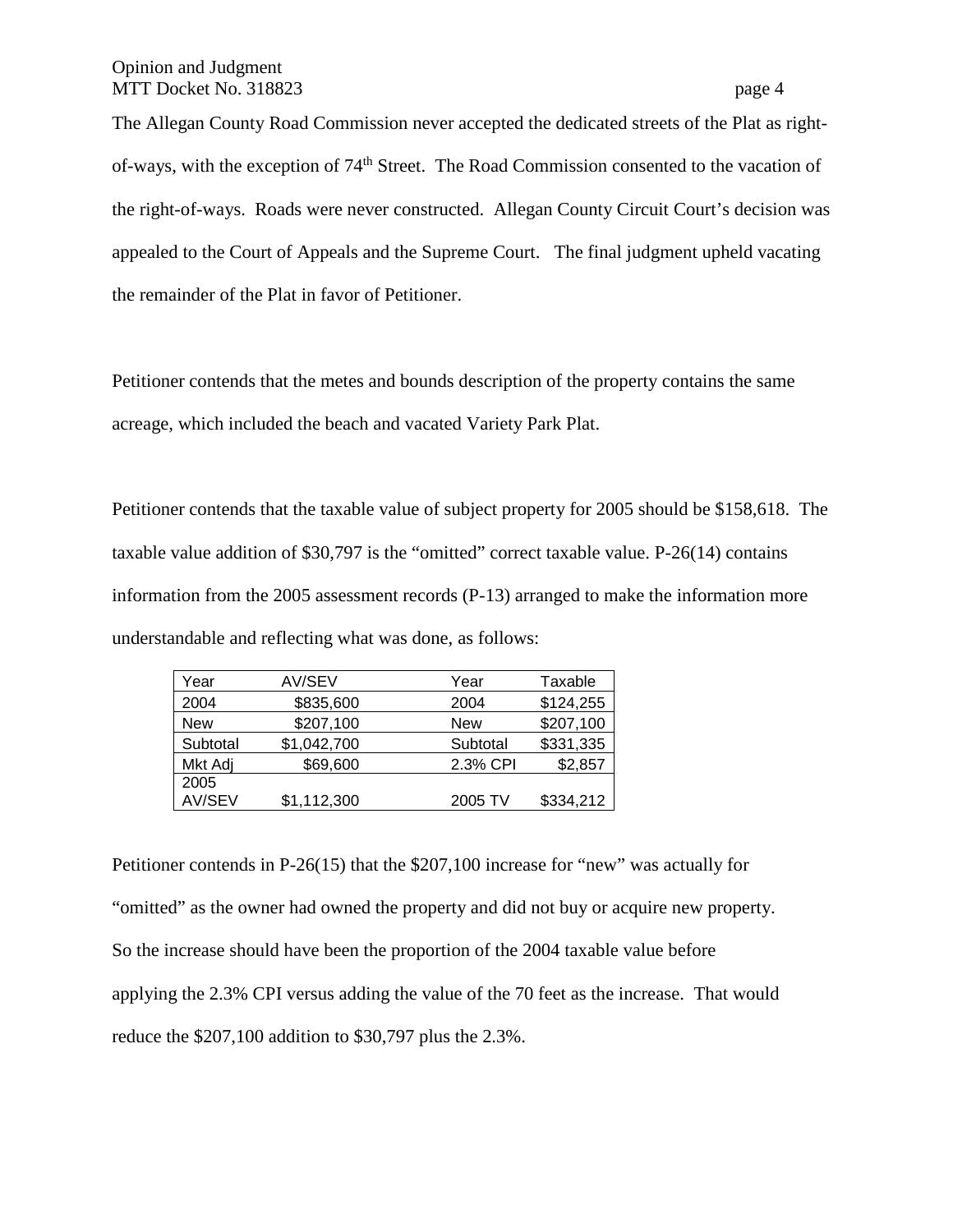The Allegan County Road Commission never accepted the dedicated streets of the Plat as rightof-ways, with the exception of 74th Street. The Road Commission consented to the vacation of the right-of-ways. Roads were never constructed. Allegan County Circuit Court's decision was appealed to the Court of Appeals and the Supreme Court. The final judgment upheld vacating the remainder of the Plat in favor of Petitioner.

Petitioner contends that the metes and bounds description of the property contains the same acreage, which included the beach and vacated Variety Park Plat.

Petitioner contends that the taxable value of subject property for 2005 should be \$158,618. The taxable value addition of \$30,797 is the "omitted" correct taxable value. P-26(14) contains information from the 2005 assessment records (P-13) arranged to make the information more understandable and reflecting what was done, as follows:

| Year       | AV/SEV      | Year       | Taxable   |
|------------|-------------|------------|-----------|
| 2004       | \$835,600   | 2004       | \$124,255 |
| <b>New</b> | \$207,100   | <b>New</b> | \$207,100 |
| Subtotal   | \$1,042,700 | Subtotal   | \$331,335 |
| Mkt Adj    | \$69,600    | 2.3% CPI   | \$2,857   |
| 2005       |             |            |           |
| AV/SEV     | \$1,112,300 | 2005 TV    | \$334,212 |

Petitioner contends in P-26(15) that the \$207,100 increase for "new" was actually for "omitted" as the owner had owned the property and did not buy or acquire new property. So the increase should have been the proportion of the 2004 taxable value before applying the 2.3% CPI versus adding the value of the 70 feet as the increase. That would reduce the \$207,100 addition to \$30,797 plus the 2.3%.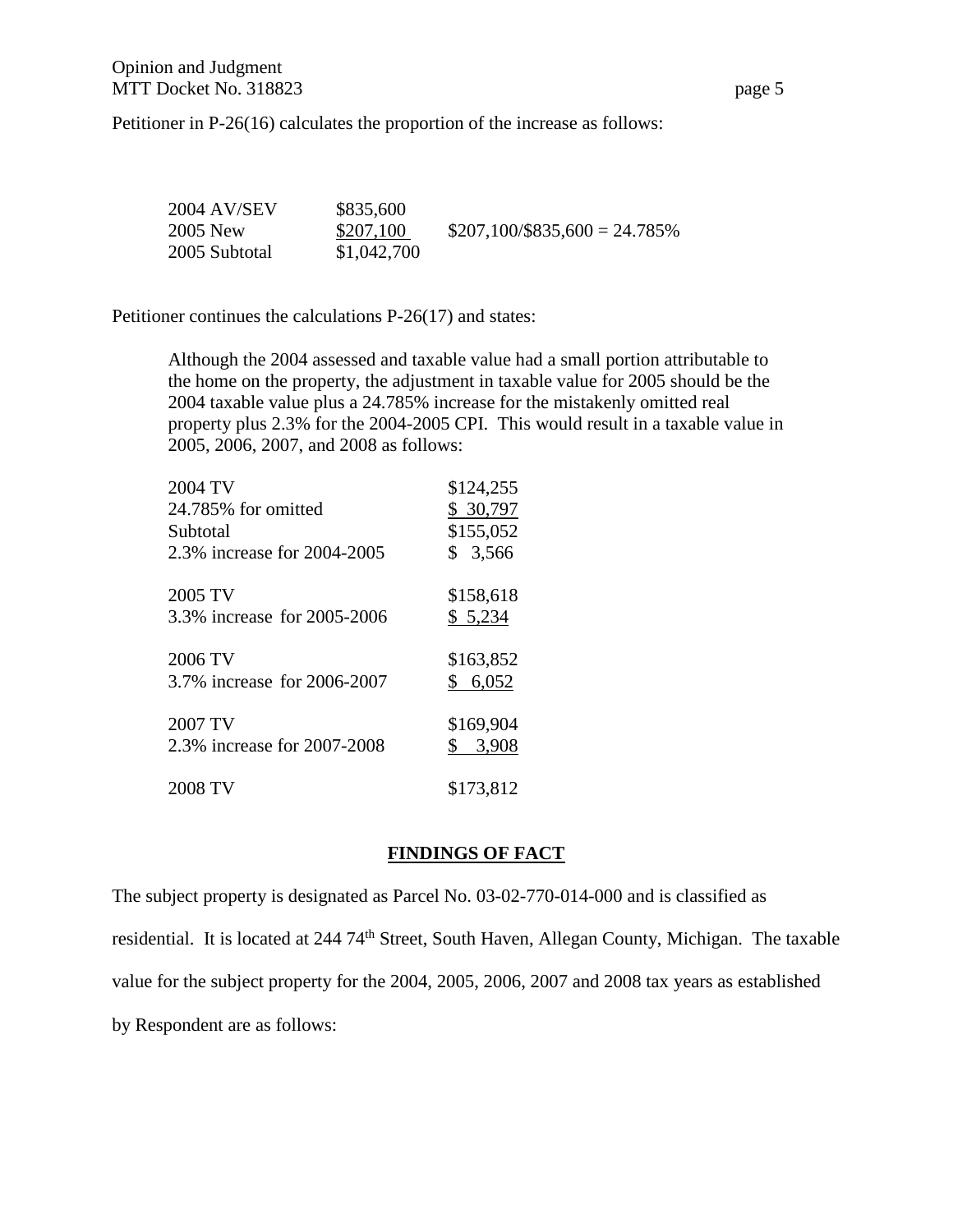Petitioner in P-26(16) calculates the proportion of the increase as follows:

| 2004 AV/SEV   | \$835,600   |                                 |
|---------------|-------------|---------------------------------|
| 2005 New      | \$207,100   | $$207,100/\$835,600 = 24.785\%$ |
| 2005 Subtotal | \$1,042,700 |                                 |

Petitioner continues the calculations P-26(17) and states:

Although the 2004 assessed and taxable value had a small portion attributable to the home on the property, the adjustment in taxable value for 2005 should be the 2004 taxable value plus a 24.785% increase for the mistakenly omitted real property plus 2.3% for the 2004-2005 CPI. This would result in a taxable value in 2005, 2006, 2007, and 2008 as follows:

| 2004 TV                     | \$124,255               |
|-----------------------------|-------------------------|
| 24.785% for omitted         | \$ 30,797               |
| Subtotal                    | \$155,052               |
| 2.3% increase for 2004-2005 | 3,566<br>$\mathbb{S}^-$ |
| 2005 TV                     | \$158,618               |
| 3.3% increase for 2005-2006 | \$5,234                 |
| 2006 TV                     | \$163,852               |
| 3.7% increase for 2006-2007 | \$6,052                 |
| 2007 TV                     | \$169,904               |
| 2.3% increase for 2007-2008 | 3,908<br>\$             |
| 2008 TV                     | \$173,812               |
|                             |                         |

# **FINDINGS OF FACT**

The subject property is designated as Parcel No. 03-02-770-014-000 and is classified as residential. It is located at 244 74th Street, South Haven, Allegan County, Michigan. The taxable value for the subject property for the 2004, 2005, 2006, 2007 and 2008 tax years as established by Respondent are as follows: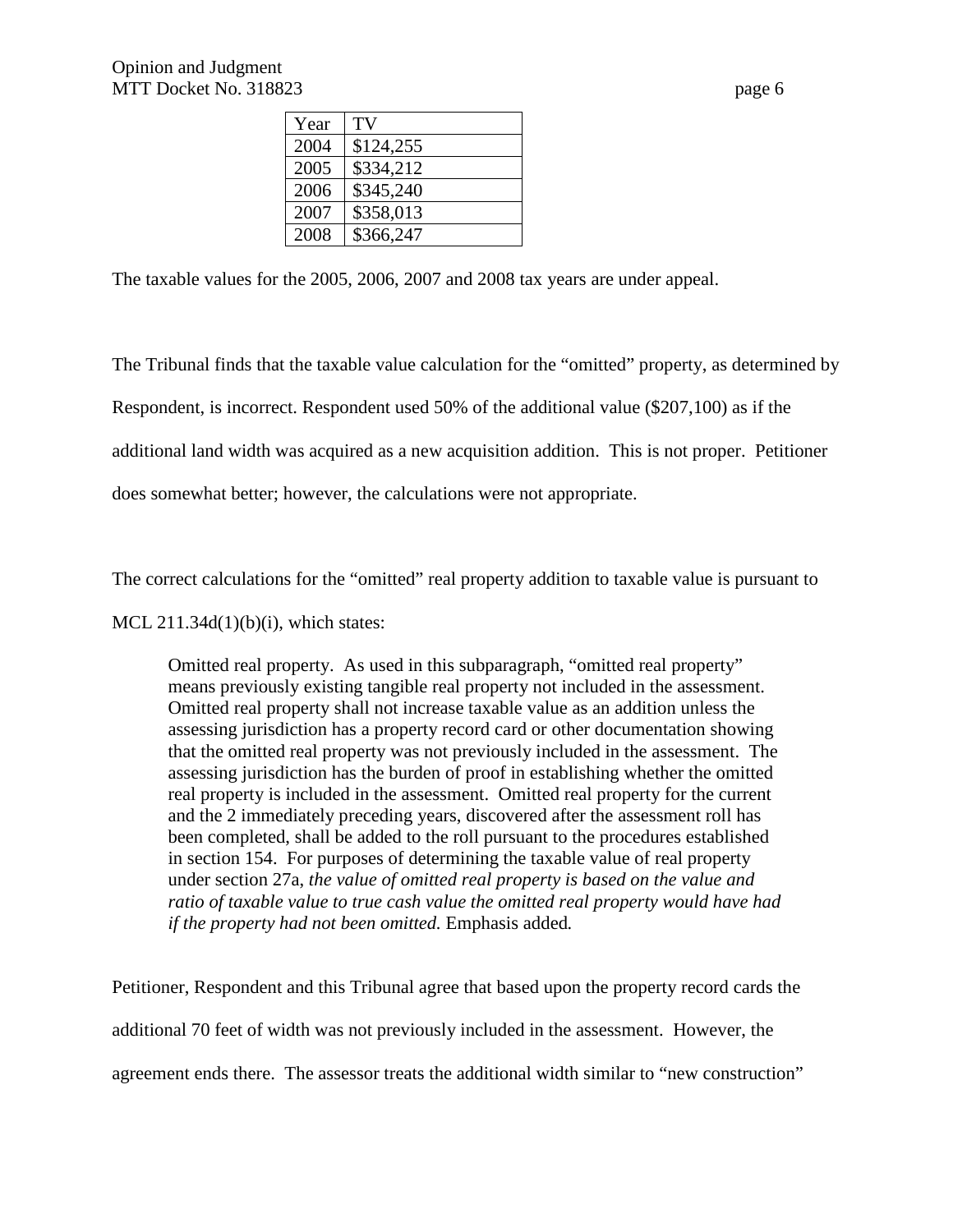| Year | TV        |
|------|-----------|
| 2004 | \$124,255 |
| 2005 | \$334,212 |
| 2006 | \$345,240 |
| 2007 | \$358,013 |
| 2008 | \$366,247 |
|      |           |

The taxable values for the 2005, 2006, 2007 and 2008 tax years are under appeal.

The Tribunal finds that the taxable value calculation for the "omitted" property, as determined by Respondent, is incorrect. Respondent used 50% of the additional value (\$207,100) as if the additional land width was acquired as a new acquisition addition. This is not proper. Petitioner does somewhat better; however, the calculations were not appropriate.

The correct calculations for the "omitted" real property addition to taxable value is pursuant to

MCL  $211.34d(1)(b)(i)$ , which states:

Omitted real property. As used in this subparagraph, "omitted real property" means previously existing tangible real property not included in the assessment. Omitted real property shall not increase taxable value as an addition unless the assessing jurisdiction has a property record card or other documentation showing that the omitted real property was not previously included in the assessment. The assessing jurisdiction has the burden of proof in establishing whether the omitted real property is included in the assessment. Omitted real property for the current and the 2 immediately preceding years, discovered after the assessment roll has been completed, shall be added to the roll pursuant to the procedures established in section 154. For purposes of determining the taxable value of real property under section 27a, *the value of omitted real property is based on the value and ratio of taxable value to true cash value the omitted real property would have had if the property had not been omitted.* Emphasis added*.*

Petitioner, Respondent and this Tribunal agree that based upon the property record cards the additional 70 feet of width was not previously included in the assessment. However, the agreement ends there. The assessor treats the additional width similar to "new construction"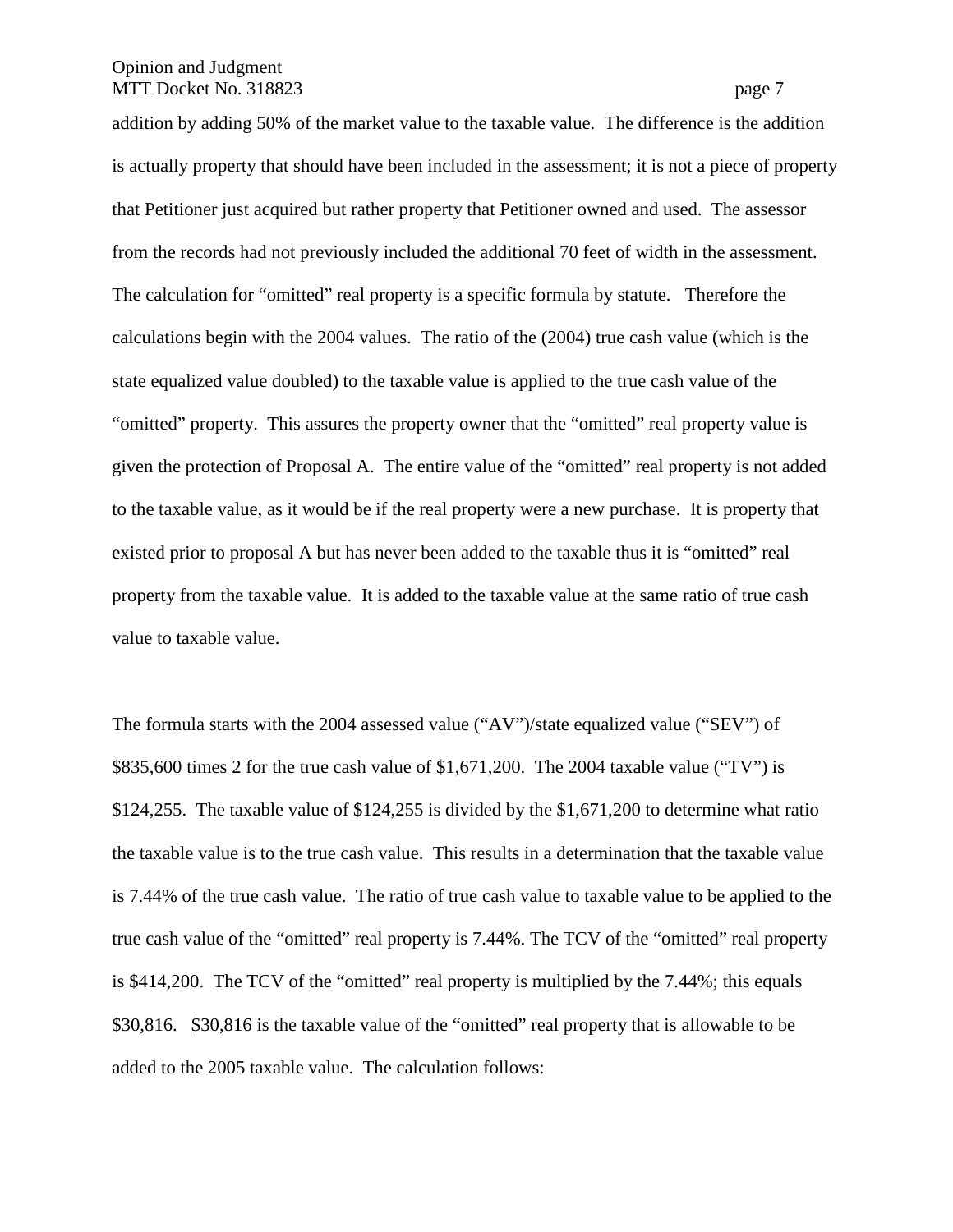addition by adding 50% of the market value to the taxable value. The difference is the addition is actually property that should have been included in the assessment; it is not a piece of property that Petitioner just acquired but rather property that Petitioner owned and used. The assessor from the records had not previously included the additional 70 feet of width in the assessment. The calculation for "omitted" real property is a specific formula by statute. Therefore the calculations begin with the 2004 values. The ratio of the (2004) true cash value (which is the state equalized value doubled) to the taxable value is applied to the true cash value of the "omitted" property. This assures the property owner that the "omitted" real property value is given the protection of Proposal A. The entire value of the "omitted" real property is not added to the taxable value, as it would be if the real property were a new purchase. It is property that existed prior to proposal A but has never been added to the taxable thus it is "omitted" real property from the taxable value. It is added to the taxable value at the same ratio of true cash value to taxable value.

The formula starts with the 2004 assessed value ("AV")/state equalized value ("SEV") of \$835,600 times 2 for the true cash value of \$1,671,200. The 2004 taxable value ("TV") is \$124,255. The taxable value of \$124,255 is divided by the \$1,671,200 to determine what ratio the taxable value is to the true cash value. This results in a determination that the taxable value is 7.44% of the true cash value. The ratio of true cash value to taxable value to be applied to the true cash value of the "omitted" real property is 7.44%. The TCV of the "omitted" real property is \$414,200. The TCV of the "omitted" real property is multiplied by the 7.44%; this equals \$30,816. \$30,816 is the taxable value of the "omitted" real property that is allowable to be added to the 2005 taxable value. The calculation follows: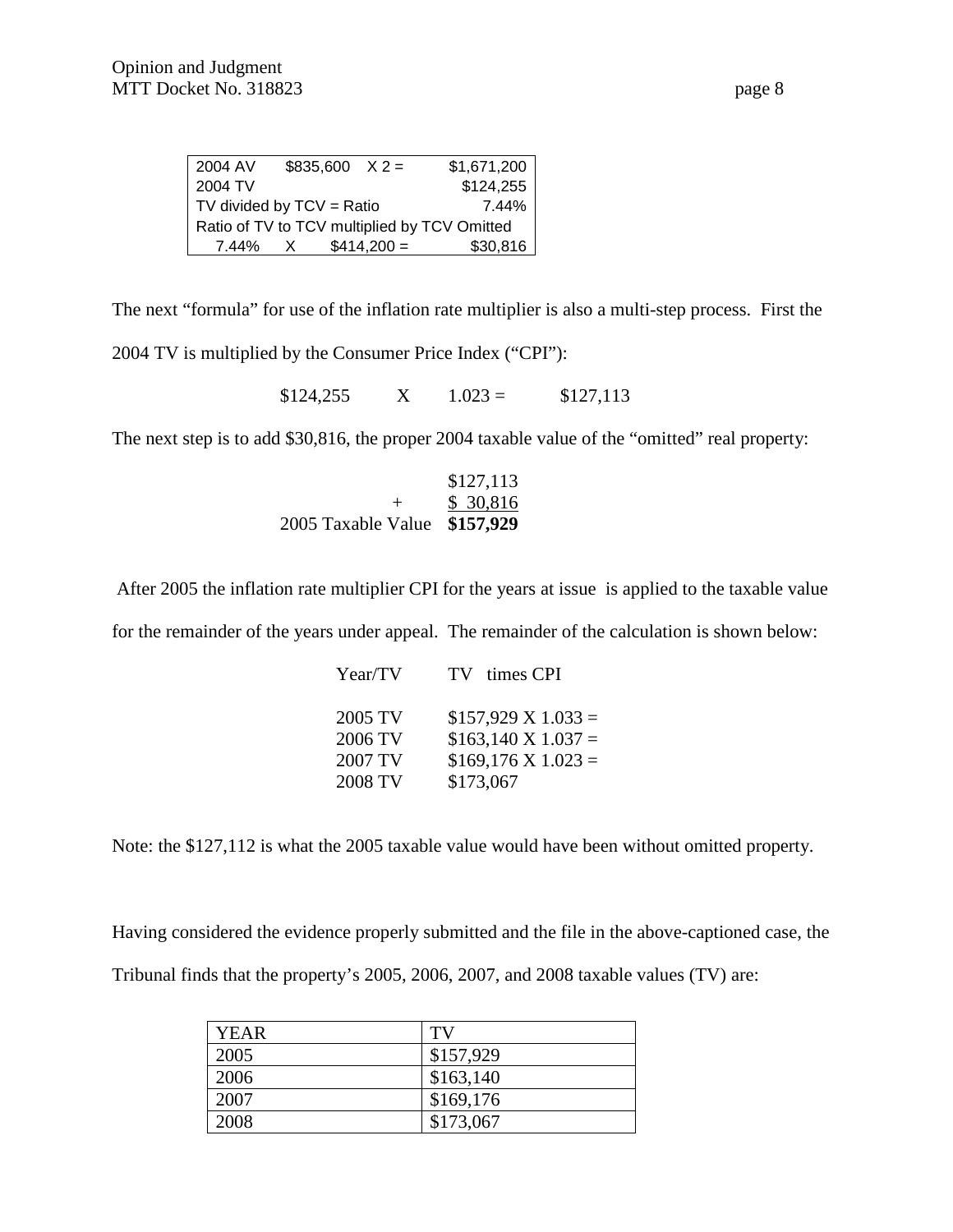| 2004 AV | $$835,600 \ X2 =$             |              | \$1,671,200                                  |
|---------|-------------------------------|--------------|----------------------------------------------|
| 2004 TV |                               |              | \$124,255                                    |
|         | $TV$ divided by $TCV = Ratio$ |              | 7.44%                                        |
|         |                               |              | Ratio of TV to TCV multiplied by TCV Omitted |
| 7.44% X |                               | $$414,200 =$ | \$30,816                                     |

The next "formula" for use of the inflation rate multiplier is also a multi-step process. First the

2004 TV is multiplied by the Consumer Price Index ("CPI"):

 $$124,255$  X  $1.023 = $127,113$ 

The next step is to add \$30,816, the proper 2004 taxable value of the "omitted" real property:

|                              | \$127,113 |
|------------------------------|-----------|
| ┷                            | \$ 30,816 |
| 2005 Taxable Value \$157,929 |           |

After 2005 the inflation rate multiplier CPI for the years at issue is applied to the taxable value

for the remainder of the years under appeal. The remainder of the calculation is shown below:

| 2005 TV<br>2006 TV<br>2007 TV | 2008 TV<br>\$173,067 | Year/TV | TV times CPI                                                                             |
|-------------------------------|----------------------|---------|------------------------------------------------------------------------------------------|
|                               |                      |         | $$157,929 \text{ X } 1.033 =$<br>$$163,140 \text{ X } 1.037 =$<br>$$169,176$ X $1.023 =$ |

Note: the \$127,112 is what the 2005 taxable value would have been without omitted property.

Having considered the evidence properly submitted and the file in the above-captioned case, the Tribunal finds that the property's 2005, 2006, 2007, and 2008 taxable values (TV) are:

| <b>YEAR</b> | TV        |
|-------------|-----------|
| 2005        | \$157,929 |
| 2006        | \$163,140 |
| 2007        | \$169,176 |
| 2008        | \$173,067 |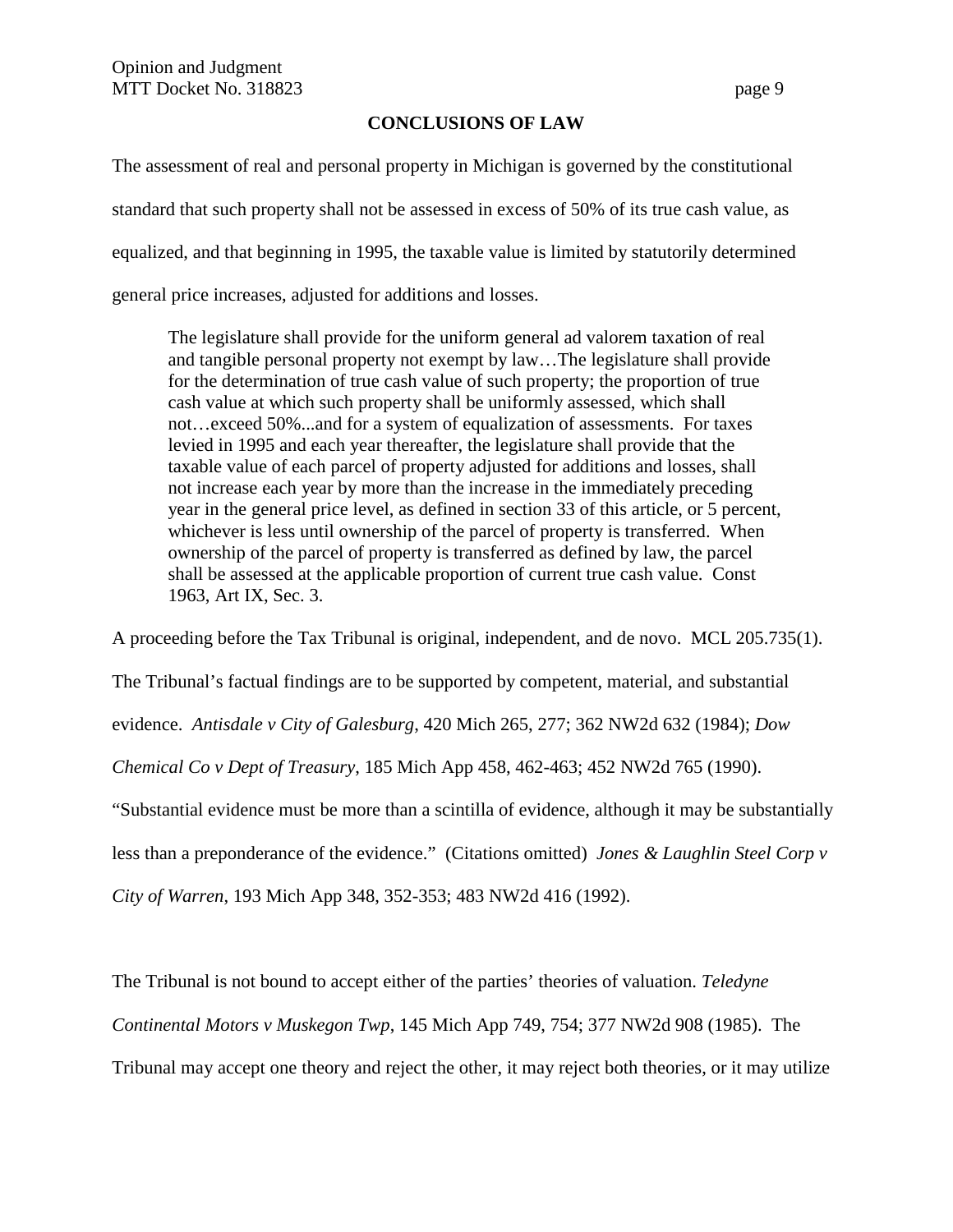#### **CONCLUSIONS OF LAW**

The assessment of real and personal property in Michigan is governed by the constitutional standard that such property shall not be assessed in excess of 50% of its true cash value, as equalized, and that beginning in 1995, the taxable value is limited by statutorily determined general price increases, adjusted for additions and losses.

The legislature shall provide for the uniform general ad valorem taxation of real and tangible personal property not exempt by law…The legislature shall provide for the determination of true cash value of such property; the proportion of true cash value at which such property shall be uniformly assessed, which shall not…exceed 50%...and for a system of equalization of assessments. For taxes levied in 1995 and each year thereafter, the legislature shall provide that the taxable value of each parcel of property adjusted for additions and losses, shall not increase each year by more than the increase in the immediately preceding year in the general price level, as defined in section 33 of this article, or 5 percent, whichever is less until ownership of the parcel of property is transferred. When ownership of the parcel of property is transferred as defined by law, the parcel shall be assessed at the applicable proportion of current true cash value. Const 1963, Art IX, Sec. 3.

A proceeding before the Tax Tribunal is original, independent, and de novo. MCL 205.735(1).

The Tribunal's factual findings are to be supported by competent, material, and substantial

evidence. *Antisdale v City of Galesburg*, 420 Mich 265, 277; 362 NW2d 632 (1984); *Dow* 

*Chemical Co v Dept of Treasury*, 185 Mich App 458, 462-463; 452 NW2d 765 (1990).

"Substantial evidence must be more than a scintilla of evidence, although it may be substantially

less than a preponderance of the evidence." (Citations omitted) *Jones & Laughlin Steel Corp v*

*City of Warren*, 193 Mich App 348, 352-353; 483 NW2d 416 (1992).

The Tribunal is not bound to accept either of the parties' theories of valuation. *Teledyne* 

*Continental Motors v Muskegon Twp*, 145 Mich App 749, 754; 377 NW2d 908 (1985). The

Tribunal may accept one theory and reject the other, it may reject both theories, or it may utilize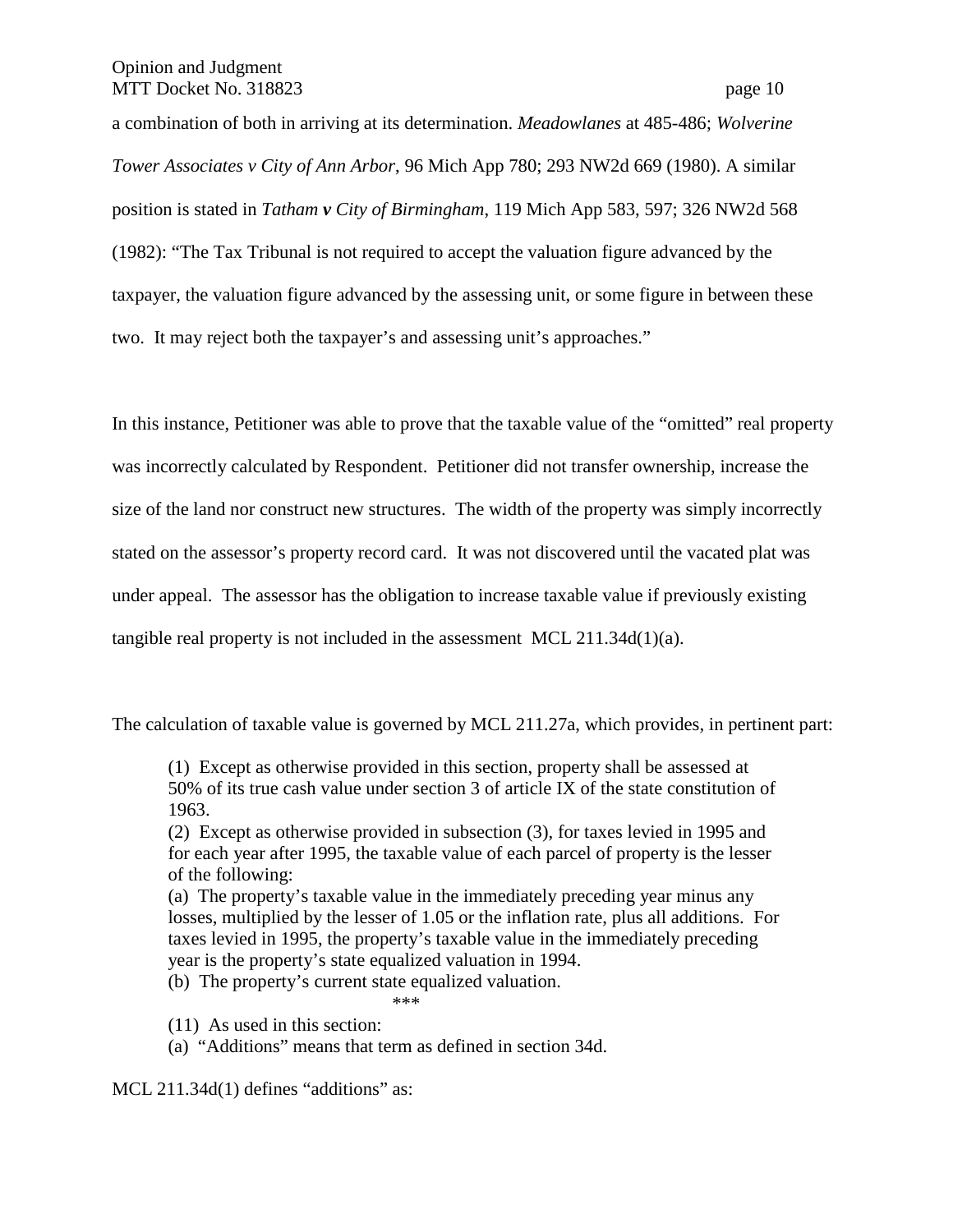a combination of both in arriving at its determination. *Meadowlanes* at 485-486; *Wolverine Tower Associates v City of Ann Arbor*, 96 Mich App 780; 293 NW2d 669 (1980). A similar position is stated in *Tatham v City of Birmingham*, 119 Mich App 583, 597; 326 NW2d 568 (1982): "The Tax Tribunal is not required to accept the valuation figure advanced by the taxpayer, the valuation figure advanced by the assessing unit, or some figure in between these two. It may reject both the taxpayer's and assessing unit's approaches."

In this instance, Petitioner was able to prove that the taxable value of the "omitted" real property was incorrectly calculated by Respondent. Petitioner did not transfer ownership, increase the size of the land nor construct new structures. The width of the property was simply incorrectly stated on the assessor's property record card. It was not discovered until the vacated plat was under appeal. The assessor has the obligation to increase taxable value if previously existing tangible real property is not included in the assessment MCL 211.34d(1)(a).

The calculation of taxable value is governed by MCL 211.27a, which provides, in pertinent part:

(1) Except as otherwise provided in this section, property shall be assessed at 50% of its true cash value under section 3 of article IX of the state constitution of 1963.

(2) Except as otherwise provided in subsection (3), for taxes levied in 1995 and for each year after 1995, the taxable value of each parcel of property is the lesser of the following:

(a) The property's taxable value in the immediately preceding year minus any losses, multiplied by the lesser of 1.05 or the inflation rate, plus all additions. For taxes levied in 1995, the property's taxable value in the immediately preceding year is the property's state equalized valuation in 1994.

(b) The property's current state equalized valuation. \*\*\*

- (11) As used in this section:
- (a) "Additions" means that term as defined in section 34d.

MCL 211.34d(1) defines "additions" as: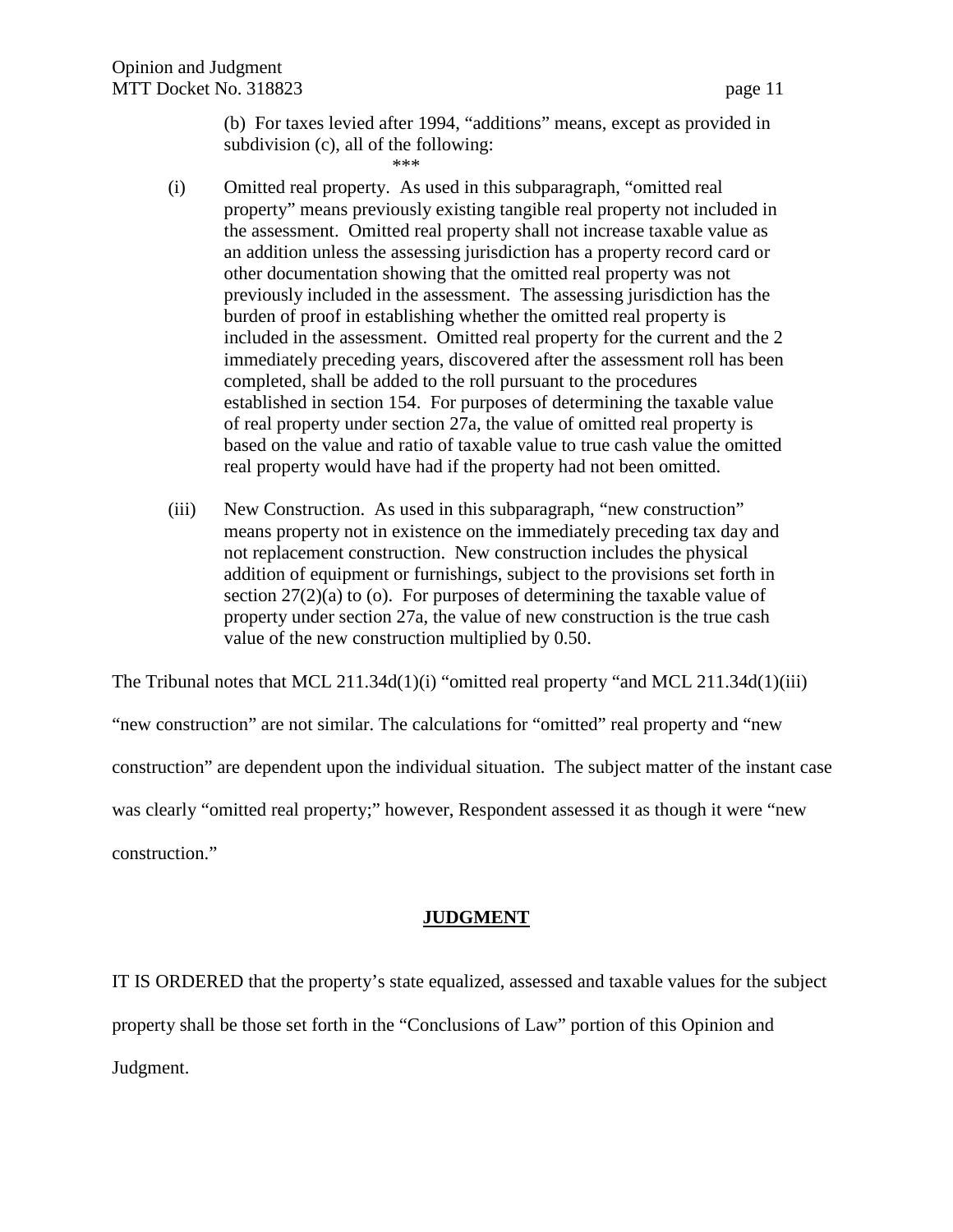(b) For taxes levied after 1994, "additions" means, except as provided in subdivision (c), all of the following:

\*\*\*

- (i) Omitted real property. As used in this subparagraph, "omitted real property" means previously existing tangible real property not included in the assessment. Omitted real property shall not increase taxable value as an addition unless the assessing jurisdiction has a property record card or other documentation showing that the omitted real property was not previously included in the assessment. The assessing jurisdiction has the burden of proof in establishing whether the omitted real property is included in the assessment. Omitted real property for the current and the 2 immediately preceding years, discovered after the assessment roll has been completed, shall be added to the roll pursuant to the procedures established in section 154. For purposes of determining the taxable value of real property under section 27a, the value of omitted real property is based on the value and ratio of taxable value to true cash value the omitted real property would have had if the property had not been omitted.
- (iii) New Construction. As used in this subparagraph, "new construction" means property not in existence on the immediately preceding tax day and not replacement construction. New construction includes the physical addition of equipment or furnishings, subject to the provisions set forth in section  $27(2)(a)$  to (o). For purposes of determining the taxable value of property under section 27a, the value of new construction is the true cash value of the new construction multiplied by 0.50.

The Tribunal notes that MCL 211.34d(1)(i) "omitted real property "and MCL 211.34d(1)(iii) "new construction" are not similar. The calculations for "omitted" real property and "new construction" are dependent upon the individual situation. The subject matter of the instant case was clearly "omitted real property;" however, Respondent assessed it as though it were "new construction."

# **JUDGMENT**

IT IS ORDERED that the property's state equalized, assessed and taxable values for the subject property shall be those set forth in the "Conclusions of Law" portion of this Opinion and Judgment.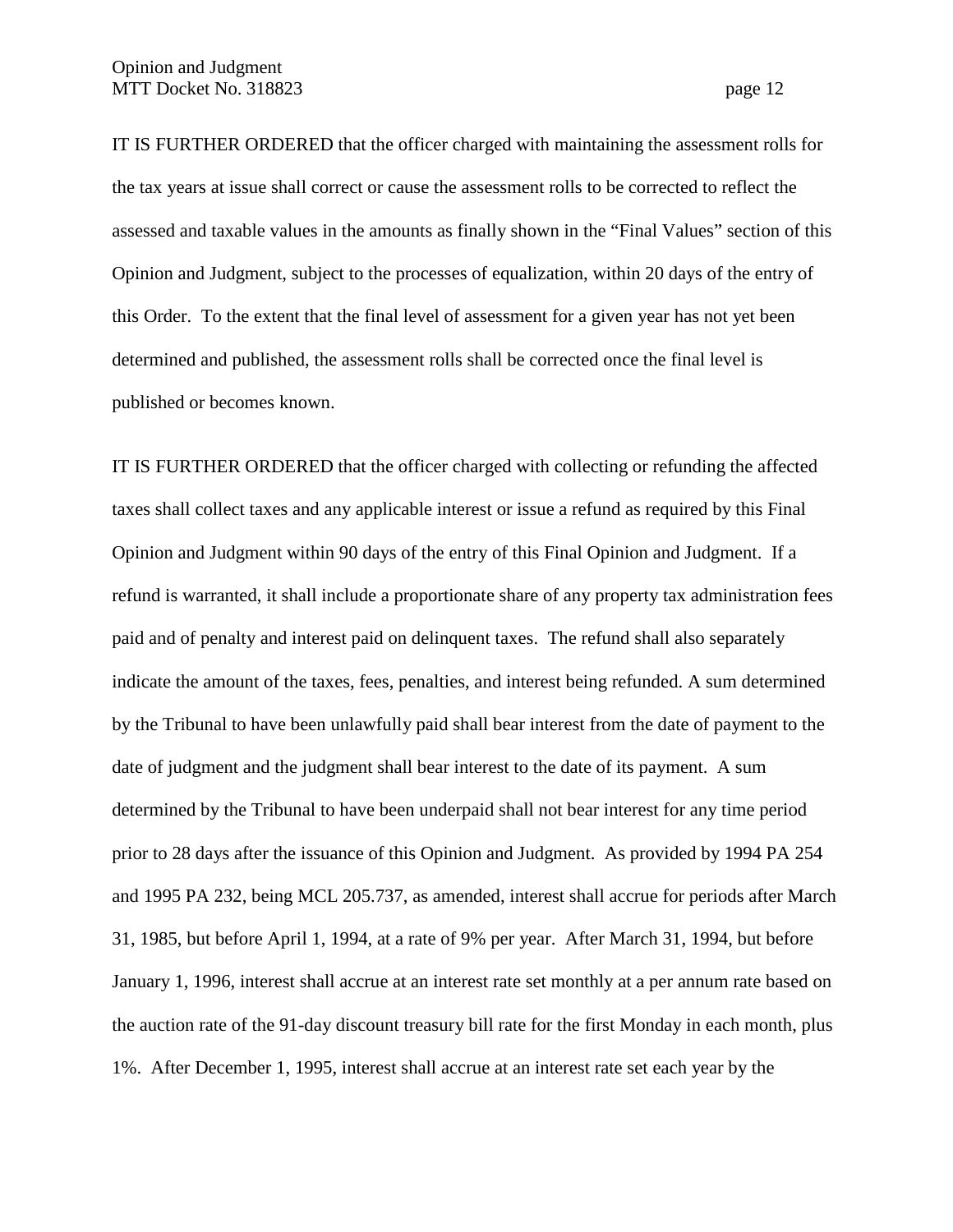IT IS FURTHER ORDERED that the officer charged with maintaining the assessment rolls for the tax years at issue shall correct or cause the assessment rolls to be corrected to reflect the assessed and taxable values in the amounts as finally shown in the "Final Values" section of this Opinion and Judgment, subject to the processes of equalization, within 20 days of the entry of this Order. To the extent that the final level of assessment for a given year has not yet been determined and published, the assessment rolls shall be corrected once the final level is published or becomes known.

IT IS FURTHER ORDERED that the officer charged with collecting or refunding the affected taxes shall collect taxes and any applicable interest or issue a refund as required by this Final Opinion and Judgment within 90 days of the entry of this Final Opinion and Judgment. If a refund is warranted, it shall include a proportionate share of any property tax administration fees paid and of penalty and interest paid on delinquent taxes. The refund shall also separately indicate the amount of the taxes, fees, penalties, and interest being refunded. A sum determined by the Tribunal to have been unlawfully paid shall bear interest from the date of payment to the date of judgment and the judgment shall bear interest to the date of its payment. A sum determined by the Tribunal to have been underpaid shall not bear interest for any time period prior to 28 days after the issuance of this Opinion and Judgment. As provided by 1994 PA 254 and 1995 PA 232, being MCL 205.737, as amended, interest shall accrue for periods after March 31, 1985, but before April 1, 1994, at a rate of 9% per year. After March 31, 1994, but before January 1, 1996, interest shall accrue at an interest rate set monthly at a per annum rate based on the auction rate of the 91-day discount treasury bill rate for the first Monday in each month, plus 1%. After December 1, 1995, interest shall accrue at an interest rate set each year by the